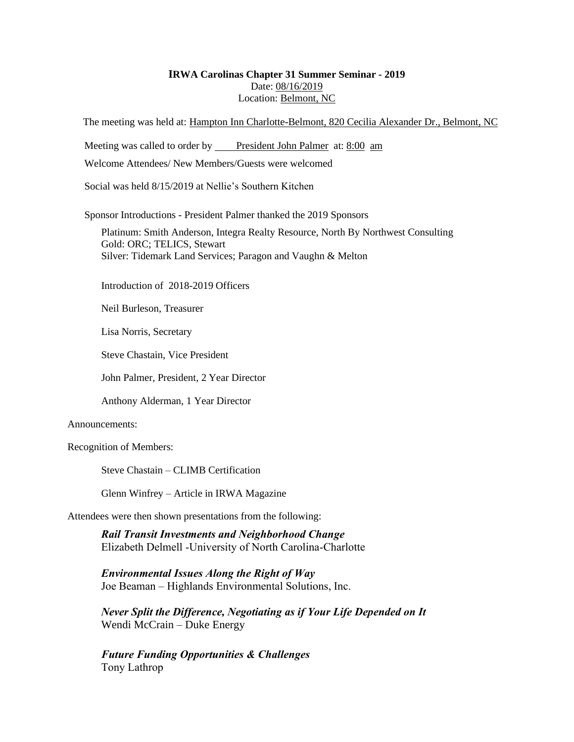# **IRWA Carolinas Chapter 31 Summer Seminar - 2019** Date: 08/16/2019 Location: Belmont, NC

The meeting was held at: Hampton Inn Charlotte-Belmont, 820 Cecilia Alexander Dr., Belmont, NC

Meeting was called to order by President John Palmer at: 8:00 am

Welcome Attendees/ New Members/Guests were welcomed

Social was held 8/15/2019 at Nellie's Southern Kitchen

Sponsor Introductions - President Palmer thanked the 2019 Sponsors

Platinum: Smith Anderson, Integra Realty Resource, North By Northwest Consulting Gold: ORC; TELICS, Stewart Silver: Tidemark Land Services; Paragon and Vaughn & Melton

Introduction of 2018-2019 Officers

Neil Burleson, Treasurer

Lisa Norris, Secretary

Steve Chastain, Vice President

John Palmer, President, 2 Year Director

Anthony Alderman, 1 Year Director

#### Announcements:

Recognition of Members:

Steve Chastain – CLIMB Certification

Glenn Winfrey – Article in IRWA Magazine

Attendees were then shown presentations from the following:

*Rail Transit Investments and Neighborhood Change* Elizabeth Delmell -University of North Carolina-Charlotte

*Environmental Issues Along the Right of Way* Joe Beaman – Highlands Environmental Solutions, Inc.

*Never Split the Difference, Negotiating as if Your Life Depended on It* Wendi McCrain – Duke Energy

*Future Funding Opportunities & Challenges* Tony Lathrop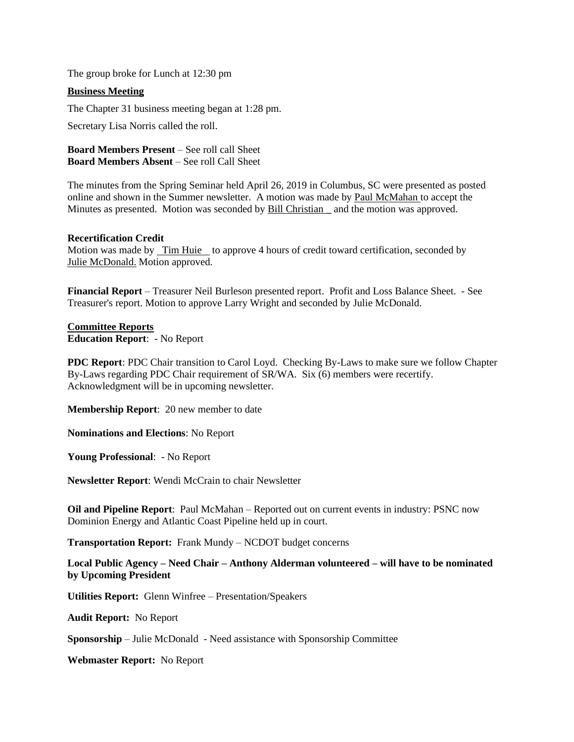The group broke for Lunch at 12:30 pm

## **Business Meeting**

The Chapter 31 business meeting began at 1:28 pm.

Secretary Lisa Norris called the roll.

**Board Members Present** – See roll call Sheet **Board Members Absent** – See roll Call Sheet

The minutes from the Spring Seminar held April 26, 2019 in Columbus, SC were presented as posted online and shown in the Summer newsletter. A motion was made by Paul McMahan to accept the Minutes as presented. Motion was seconded by **Bill Christian** and the motion was approved.

#### **Recertification Credit**

Motion was made by <u>Tim Huie t</u>o approve 4 hours of credit toward certification, seconded by Julie McDonald. Motion approved.

**Financial Report** – Treasurer Neil Burleson presented report. Profit and Loss Balance Sheet. - See Treasurer's report. Motion to approve Larry Wright and seconded by Julie McDonald.

**Committee Reports Education Report**: - No Report

**PDC Report**: PDC Chair transition to Carol Loyd. Checking By-Laws to make sure we follow Chapter By-Laws regarding PDC Chair requirement of SR/WA. Six (6) members were recertify. Acknowledgment will be in upcoming newsletter.

**Membership Report**: 20 new member to date

**Nominations and Elections**: No Report

**Young Professional**: - No Report

**Newsletter Report**: Wendi McCrain to chair Newsletter

**Oil and Pipeline Report**: Paul McMahan – Reported out on current events in industry: PSNC now Dominion Energy and Atlantic Coast Pipeline held up in court.

**Transportation Report:** Frank Mundy – NCDOT budget concerns

**Local Public Agency – Need Chair – Anthony Alderman volunteered – will have to be nominated by Upcoming President**

**Utilities Report:** Glenn Winfree – Presentation/Speakers

**Audit Report:** No Report

**Sponsorship** – Julie McDonald - Need assistance with Sponsorship Committee

**Webmaster Report:** No Report